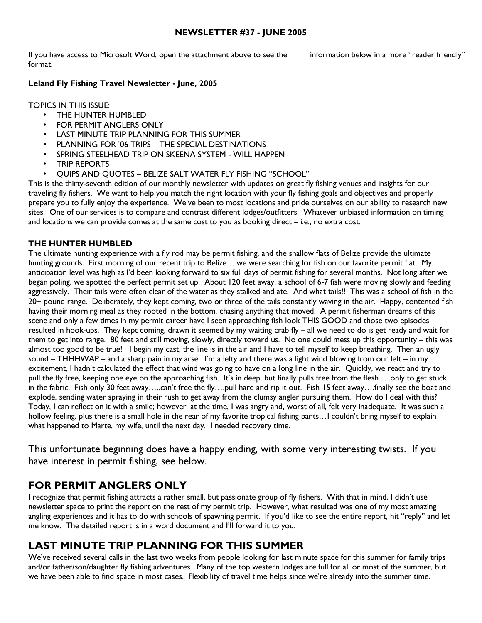#### NEWSLETTER #37 - JUNE 2005

If you have access to Microsoft Word, open the attachment above to see the information below in a more "reader friendly" format.

#### Leland Fly Fishing Travel Newsletter - June, 2005

TOPICS IN THIS ISSUE:

- THE HUNTER HUMBLED
- **FOR PERMIT ANGLERS ONLY**
- LAST MINUTE TRIP PLANNING FOR THIS SUMMER
- PLANNING FOR '06 TRIPS THE SPECIAL DESTINATIONS
- SPRING STEELHEAD TRIP ON SKEENA SYSTEM WILL HAPPEN
- TRIP REPORTS
- QUIPS AND QUOTES BELIZE SALT WATER FLY FISHING "SCHOOL"

This is the thirty-seventh edition of our monthly newsletter with updates on great fly fishing venues and insights for our traveling fly fishers. We want to help you match the right location with your fly fishing goals and objectives and properly prepare you to fully enjoy the experience. We've been to most locations and pride ourselves on our ability to research new sites. One of our services is to compare and contrast different lodges/outfitters. Whatever unbiased information on timing and locations we can provide comes at the same cost to you as booking direct – i.e., no extra cost.

#### THE HUNTER HUMBLED

The ultimate hunting experience with a fly rod may be permit fishing, and the shallow flats of Belize provide the ultimate hunting grounds. First morning of our recent trip to Belize….we were searching for fish on our favorite permit flat. My anticipation level was high as I'd been looking forward to six full days of permit fishing for several months. Not long after we began poling, we spotted the perfect permit set up. About 120 feet away, a school of 6-7 fish were moving slowly and feeding aggressively. Their tails were often clear of the water as they stalked and ate. And what tails!! This was a school of fish in the 20+ pound range. Deliberately, they kept coming, two or three of the tails constantly waving in the air. Happy, contented fish having their morning meal as they rooted in the bottom, chasing anything that moved. A permit fisherman dreams of this scene and only a few times in my permit career have I seen approaching fish look THIS GOOD and those two episodes resulted in hook-ups. They kept coming, drawn it seemed by my waiting crab fly – all we need to do is get ready and wait for them to get into range. 80 feet and still moving, slowly, directly toward us. No one could mess up this opportunity – this was almost too good to be true! I begin my cast, the line is in the air and I have to tell myself to keep breathing. Then an ugly sound – THHHWAP – and a sharp pain in my arse. I'm a lefty and there was a light wind blowing from our left – in my excitement, I hadn't calculated the effect that wind was going to have on a long line in the air. Quickly, we react and try to pull the fly free, keeping one eye on the approaching fish. It's in deep, but finally pulls free from the flesh…..only to get stuck in the fabric. Fish only 30 feet away…..can't free the fly….pull hard and rip it out. Fish 15 feet away….finally see the boat and explode, sending water spraying in their rush to get away from the clumsy angler pursuing them. How do I deal with this? Today, I can reflect on it with a smile; however, at the time, I was angry and, worst of all, felt very inadequate. It was such a hollow feeling, plus there is a small hole in the rear of my favorite tropical fishing pants... I couldn't bring myself to explain what happened to Marte, my wife, until the next day. I needed recovery time.

This unfortunate beginning does have a happy ending, with some very interesting twists. If you have interest in permit fishing, see below.

## FOR PERMIT ANGLERS ONLY

I recognize that permit fishing attracts a rather small, but passionate group of fly fishers. With that in mind, I didn't use newsletter space to print the report on the rest of my permit trip. However, what resulted was one of my most amazing angling experiences and it has to do with schools of spawning permit. If you'd like to see the entire report, hit "reply" and let me know. The detailed report is in a word document and I'll forward it to you.

## LAST MINUTE TRIP PLANNING FOR THIS SUMMER

We've received several calls in the last two weeks from people looking for last minute space for this summer for family trips and/or father/son/daughter fly fishing adventures. Many of the top western lodges are full for all or most of the summer, but we have been able to find space in most cases. Flexibility of travel time helps since we're already into the summer time.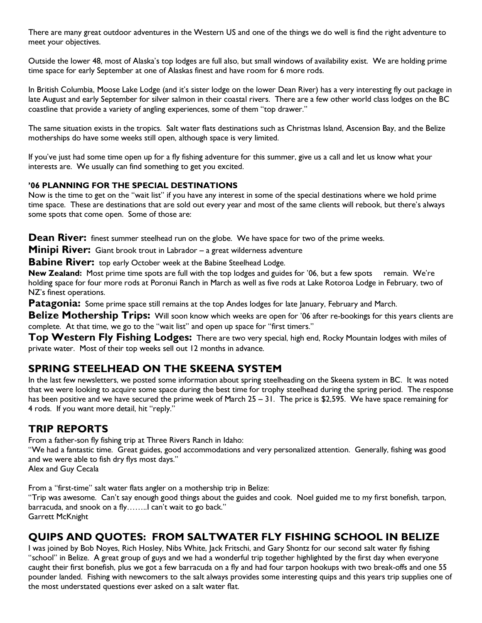There are many great outdoor adventures in the Western US and one of the things we do well is find the right adventure to meet your objectives.

Outside the lower 48, most of Alaska's top lodges are full also, but small windows of availability exist. We are holding prime time space for early September at one of Alaskas finest and have room for 6 more rods.

In British Columbia, Moose Lake Lodge (and it's sister lodge on the lower Dean River) has a very interesting fly out package in late August and early September for silver salmon in their coastal rivers. There are a few other world class lodges on the BC coastline that provide a variety of angling experiences, some of them "top drawer."

The same situation exists in the tropics. Salt water flats destinations such as Christmas Island, Ascension Bay, and the Belize motherships do have some weeks still open, although space is very limited.

If you've just had some time open up for a fly fishing adventure for this summer, give us a call and let us know what your interests are. We usually can find something to get you excited.

### '06 PLANNING FOR THE SPECIAL DESTINATIONS

Now is the time to get on the "wait list" if you have any interest in some of the special destinations where we hold prime time space. These are destinations that are sold out every year and most of the same clients will rebook, but there's always some spots that come open. Some of those are:

**Dean River:** finest summer steelhead run on the globe. We have space for two of the prime weeks.

**Minipi River:** Giant brook trout in Labrador – a great wilderness adventure

**Babine River:** top early October week at the Babine Steelhead Lodge.

New Zealand: Most prime time spots are full with the top lodges and guides for '06, but a few spots remain. We're holding space for four more rods at Poronui Ranch in March as well as five rods at Lake Rotoroa Lodge in February, two of NZ's finest operations.

**Patagonia:** Some prime space still remains at the top Andes lodges for late January, February and March.

Belize Mothership Trips: Will soon know which weeks are open for '06 after re-bookings for this years clients are complete. At that time, we go to the "wait list" and open up space for "first timers."

Top Western Fly Fishing Lodges: There are two very special, high end, Rocky Mountain lodges with miles of private water. Most of their top weeks sell out 12 months in advance.

## SPRING STEELHEAD ON THE SKEENA SYSTEM

In the last few newsletters, we posted some information about spring steelheading on the Skeena system in BC. It was noted that we were looking to acquire some space during the best time for trophy steelhead during the spring period. The response has been positive and we have secured the prime week of March 25 – 31. The price is \$2,595. We have space remaining for 4 rods. If you want more detail, hit "reply."

## TRIP REPORTS

From a father-son fly fishing trip at Three Rivers Ranch in Idaho:

"We had a fantastic time. Great guides, good accommodations and very personalized attention. Generally, fishing was good and we were able to fish dry flys most days."

Alex and Guy Cecala

From a "first-time" salt water flats angler on a mothership trip in Belize: "Trip was awesome. Can't say enough good things about the guides and cook. Noel guided me to my first bonefish, tarpon, barracuda, and snook on a fly........l can't wait to go back." Garrett McKnight

# QUIPS AND QUOTES: FROM SALTWATER FLY FISHING SCHOOL IN BELIZE

I was joined by Bob Noyes, Rich Hosley, Nibs White, Jack Fritschi, and Gary Shontz for our second salt water fly fishing "school" in Belize. A great group of guys and we had a wonderful trip together highlighted by the first day when everyone caught their first bonefish, plus we got a few barracuda on a fly and had four tarpon hookups with two break-offs and one 55 pounder landed. Fishing with newcomers to the salt always provides some interesting quips and this years trip supplies one of the most understated questions ever asked on a salt water flat.